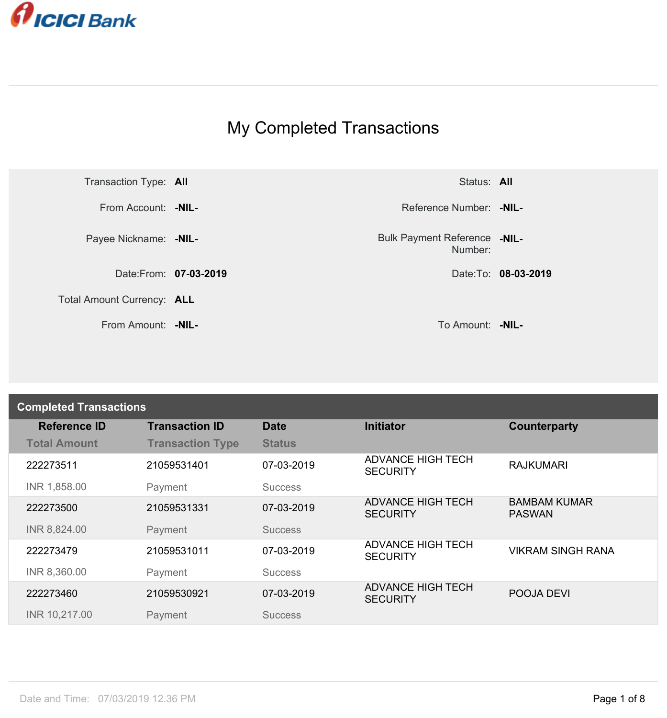

## My Completed Transactions



From Amount: **-NIL-** To Amount: **-NIL-**

Number: **-NIL-**

| <b>Completed Transactions</b> |                         |                |                                             |                                      |  |
|-------------------------------|-------------------------|----------------|---------------------------------------------|--------------------------------------|--|
| <b>Reference ID</b>           | <b>Transaction ID</b>   | <b>Date</b>    | <b>Initiator</b>                            | Counterparty                         |  |
| <b>Total Amount</b>           | <b>Transaction Type</b> | <b>Status</b>  |                                             |                                      |  |
| 222273511                     | 21059531401             | 07-03-2019     | <b>ADVANCE HIGH TECH</b><br><b>SECURITY</b> | <b>RAJKUMARI</b>                     |  |
| INR 1,858.00                  | Payment                 | <b>Success</b> |                                             |                                      |  |
| 222273500                     | 21059531331             | 07-03-2019     | <b>ADVANCE HIGH TECH</b><br><b>SECURITY</b> | <b>BAMBAM KUMAR</b><br><b>PASWAN</b> |  |
| INR 8,824.00                  | Payment                 | <b>Success</b> |                                             |                                      |  |
| 222273479                     | 21059531011             | 07-03-2019     | <b>ADVANCE HIGH TECH</b><br><b>SECURITY</b> | <b>VIKRAM SINGH RANA</b>             |  |
| INR 8,360.00                  | Payment                 | <b>Success</b> |                                             |                                      |  |
| 222273460                     | 21059530921             | 07-03-2019     | <b>ADVANCE HIGH TECH</b><br><b>SECURITY</b> | POOJA DEVI                           |  |
| INR 10,217.00                 | Payment                 | <b>Success</b> |                                             |                                      |  |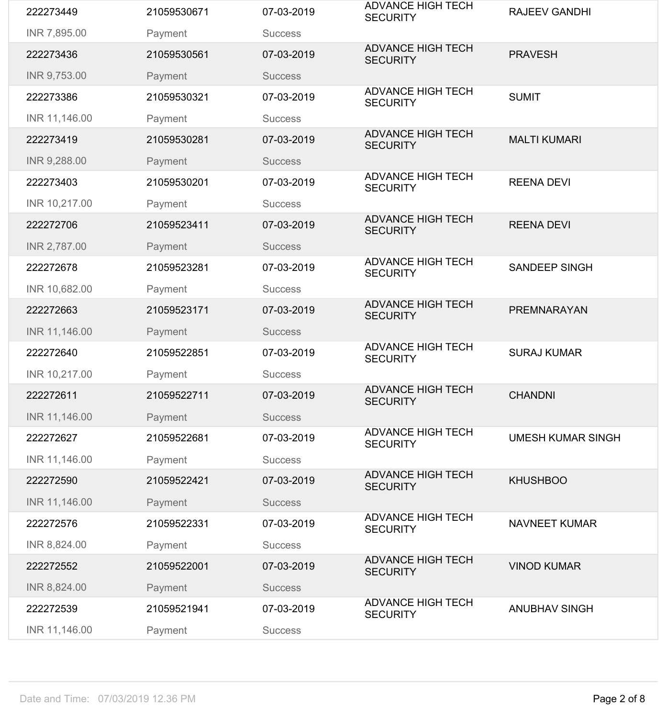| 222273449     | 21059530671 | 07-03-2019     | <b>ADVANCE HIGH TECH</b><br><b>SECURITY</b> | <b>RAJEEV GANDHI</b>     |
|---------------|-------------|----------------|---------------------------------------------|--------------------------|
| INR 7,895.00  | Payment     | <b>Success</b> |                                             |                          |
| 222273436     | 21059530561 | 07-03-2019     | <b>ADVANCE HIGH TECH</b><br><b>SECURITY</b> | <b>PRAVESH</b>           |
| INR 9,753.00  | Payment     | <b>Success</b> |                                             |                          |
| 222273386     | 21059530321 | 07-03-2019     | <b>ADVANCE HIGH TECH</b><br><b>SECURITY</b> | <b>SUMIT</b>             |
| INR 11,146.00 | Payment     | <b>Success</b> |                                             |                          |
| 222273419     | 21059530281 | 07-03-2019     | <b>ADVANCE HIGH TECH</b><br><b>SECURITY</b> | <b>MALTI KUMARI</b>      |
| INR 9,288.00  | Payment     | <b>Success</b> |                                             |                          |
| 222273403     | 21059530201 | 07-03-2019     | <b>ADVANCE HIGH TECH</b><br><b>SECURITY</b> | <b>REENA DEVI</b>        |
| INR 10,217.00 | Payment     | <b>Success</b> |                                             |                          |
| 222272706     | 21059523411 | 07-03-2019     | <b>ADVANCE HIGH TECH</b><br><b>SECURITY</b> | <b>REENA DEVI</b>        |
| INR 2,787.00  | Payment     | <b>Success</b> |                                             |                          |
| 222272678     | 21059523281 | 07-03-2019     | <b>ADVANCE HIGH TECH</b><br><b>SECURITY</b> | <b>SANDEEP SINGH</b>     |
| INR 10,682.00 | Payment     | <b>Success</b> |                                             |                          |
| 222272663     | 21059523171 | 07-03-2019     | <b>ADVANCE HIGH TECH</b><br><b>SECURITY</b> | PREMNARAYAN              |
| INR 11,146.00 | Payment     | <b>Success</b> |                                             |                          |
| 222272640     | 21059522851 | 07-03-2019     | <b>ADVANCE HIGH TECH</b><br><b>SECURITY</b> | <b>SURAJ KUMAR</b>       |
| INR 10,217.00 | Payment     | <b>Success</b> |                                             |                          |
| 222272611     | 21059522711 | 07-03-2019     | <b>ADVANCE HIGH TECH</b><br><b>SECURITY</b> | <b>CHANDNI</b>           |
| INR 11,146.00 | Payment     | <b>Success</b> |                                             |                          |
| 222272627     | 21059522681 | 07-03-2019     | <b>ADVANCE HIGH TECH</b><br><b>SECURITY</b> | <b>UMESH KUMAR SINGH</b> |
| INR 11,146.00 | Payment     | <b>Success</b> |                                             |                          |
| 222272590     | 21059522421 | 07-03-2019     | <b>ADVANCE HIGH TECH</b><br><b>SECURITY</b> | <b>KHUSHBOO</b>          |
| INR 11,146.00 | Payment     | <b>Success</b> |                                             |                          |
| 222272576     | 21059522331 | 07-03-2019     | <b>ADVANCE HIGH TECH</b><br><b>SECURITY</b> | <b>NAVNEET KUMAR</b>     |
| INR 8,824.00  | Payment     | <b>Success</b> |                                             |                          |
| 222272552     | 21059522001 | 07-03-2019     | <b>ADVANCE HIGH TECH</b><br><b>SECURITY</b> | <b>VINOD KUMAR</b>       |
| INR 8,824.00  | Payment     | <b>Success</b> |                                             |                          |
| 222272539     | 21059521941 | 07-03-2019     | <b>ADVANCE HIGH TECH</b>                    | <b>ANUBHAV SINGH</b>     |
|               |             |                | <b>SECURITY</b>                             |                          |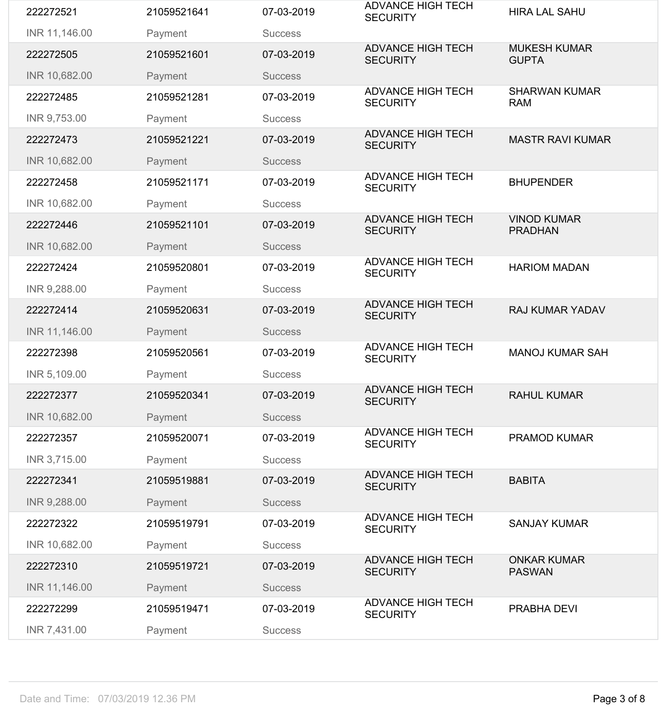| INR 5,109.00  | Payment     | <b>Success</b> |                                             |                                     |
|---------------|-------------|----------------|---------------------------------------------|-------------------------------------|
|               |             |                | <b>ADVANCE HIGH TECH</b>                    |                                     |
|               |             |                |                                             |                                     |
|               |             |                |                                             |                                     |
|               |             |                | <b>SECURITY</b>                             |                                     |
| 222272398     | 21059520561 | 07-03-2019     | <b>ADVANCE HIGH TECH</b>                    | <b>MANOJ KUMAR SAH</b>              |
|               |             |                |                                             |                                     |
| INR 11,146.00 | Payment     | <b>Success</b> |                                             |                                     |
|               |             |                |                                             |                                     |
| 222272414     | 21059520631 | 07-03-2019     | <b>ADVANCE HIGH TECH</b><br><b>SECURITY</b> | <b>RAJ KUMAR YADAV</b>              |
| INR 9,288.00  | Payment     | <b>Success</b> |                                             |                                     |
|               |             |                |                                             |                                     |
| 222272424     | 21059520801 | 07-03-2019     | <b>SECURITY</b>                             | <b>HARIOM MADAN</b>                 |
|               |             |                | <b>ADVANCE HIGH TECH</b>                    |                                     |
| INR 10,682.00 | Payment     | <b>Success</b> |                                             |                                     |
|               |             |                |                                             |                                     |
| 222272446     | 21059521101 | 07-03-2019     | <b>SECURITY</b>                             | <b>PRADHAN</b>                      |
|               |             |                | <b>ADVANCE HIGH TECH</b>                    | <b>VINOD KUMAR</b>                  |
| INR 10,682.00 | Payment     | <b>Success</b> |                                             |                                     |
|               |             |                |                                             |                                     |
| 222272458     | 21059521171 | 07-03-2019     | <b>SECURITY</b>                             | <b>BHUPENDER</b>                    |
|               |             |                | <b>ADVANCE HIGH TECH</b>                    |                                     |
| INR 10,682.00 | Payment     | <b>Success</b> |                                             |                                     |
| 222272473     | 21059521221 | 07-03-2019     | <b>SECURITY</b>                             | <b>MASTR RAVI KUMAR</b>             |
|               |             |                | <b>ADVANCE HIGH TECH</b>                    |                                     |
| INR 9,753.00  | Payment     | <b>Success</b> |                                             |                                     |
| 222272485     | 21059521281 | 07-03-2019     | <b>SECURITY</b>                             | <b>RAM</b>                          |
|               |             |                | <b>ADVANCE HIGH TECH</b>                    | <b>SHARWAN KUMAR</b>                |
| INR 10,682.00 | Payment     | <b>Success</b> |                                             |                                     |
| 222272505     | 21059521601 | 07-03-2019     | <b>ADVANCE HIGH TECH</b><br><b>SECURITY</b> | <b>MUKESH KUMAR</b><br><b>GUPTA</b> |
| INR 11,146.00 | Payment     | <b>Success</b> |                                             |                                     |
|               |             |                | <b>SECURITY</b>                             |                                     |
| 222272521     | 21059521641 | 07-03-2019     | <b>ADVANCE HIGH TECH</b>                    | <b>HIRA LAL SAHU</b>                |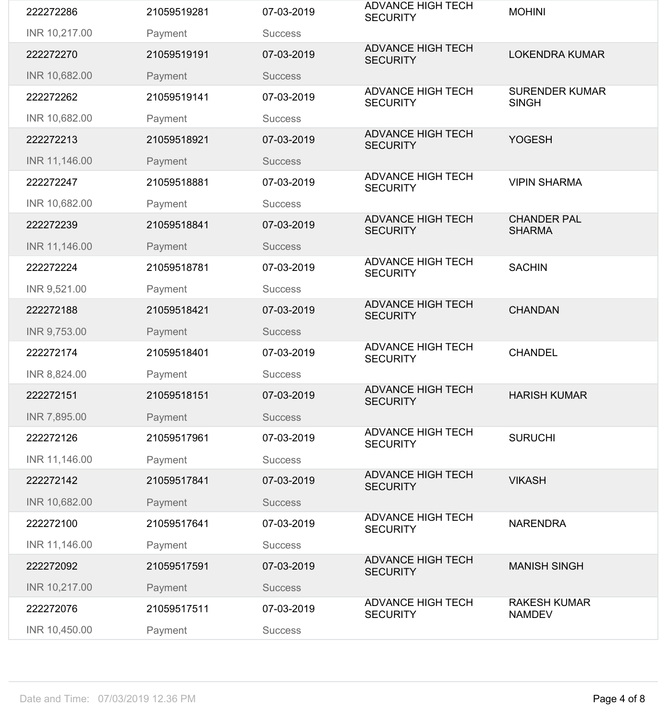| 222272286     | 21059519281 | 07-03-2019     | <b>ADVANCE HIGH TECH</b><br><b>SECURITY</b> | <b>MOHINI</b>                         |
|---------------|-------------|----------------|---------------------------------------------|---------------------------------------|
| INR 10,217.00 | Payment     | <b>Success</b> |                                             |                                       |
| 222272270     | 21059519191 | 07-03-2019     | <b>ADVANCE HIGH TECH</b><br><b>SECURITY</b> | <b>LOKENDRA KUMAR</b>                 |
| INR 10,682.00 | Payment     | <b>Success</b> |                                             |                                       |
| 222272262     | 21059519141 | 07-03-2019     | <b>ADVANCE HIGH TECH</b><br><b>SECURITY</b> | <b>SURENDER KUMAR</b><br><b>SINGH</b> |
| INR 10,682.00 | Payment     | <b>Success</b> |                                             |                                       |
| 222272213     | 21059518921 | 07-03-2019     | <b>ADVANCE HIGH TECH</b><br><b>SECURITY</b> | <b>YOGESH</b>                         |
| INR 11,146.00 | Payment     | <b>Success</b> |                                             |                                       |
| 222272247     | 21059518881 | 07-03-2019     | <b>ADVANCE HIGH TECH</b><br><b>SECURITY</b> | <b>VIPIN SHARMA</b>                   |
| INR 10,682.00 | Payment     | <b>Success</b> |                                             |                                       |
| 222272239     | 21059518841 | 07-03-2019     | <b>ADVANCE HIGH TECH</b><br><b>SECURITY</b> | <b>CHANDER PAL</b><br><b>SHARMA</b>   |
| INR 11,146.00 | Payment     | <b>Success</b> |                                             |                                       |
| 222272224     | 21059518781 | 07-03-2019     | <b>ADVANCE HIGH TECH</b><br><b>SECURITY</b> | <b>SACHIN</b>                         |
| INR 9,521.00  | Payment     | <b>Success</b> |                                             |                                       |
| 222272188     | 21059518421 | 07-03-2019     | <b>ADVANCE HIGH TECH</b><br><b>SECURITY</b> | <b>CHANDAN</b>                        |
| INR 9,753.00  | Payment     | <b>Success</b> |                                             |                                       |
| 222272174     | 21059518401 | 07-03-2019     | <b>ADVANCE HIGH TECH</b><br><b>SECURITY</b> | <b>CHANDEL</b>                        |
| INR 8,824.00  | Payment     | <b>Success</b> |                                             |                                       |
| 222272151     | 21059518151 | 07-03-2019     | <b>ADVANCE HIGH TECH</b><br><b>SECURITY</b> | <b>HARISH KUMAR</b>                   |
| INR 7,895.00  | Payment     | <b>Success</b> |                                             |                                       |
| 222272126     | 21059517961 | 07-03-2019     | <b>ADVANCE HIGH TECH</b><br><b>SECURITY</b> | <b>SURUCHI</b>                        |
| INR 11,146.00 | Payment     | <b>Success</b> |                                             |                                       |
| 222272142     | 21059517841 | 07-03-2019     | <b>ADVANCE HIGH TECH</b><br><b>SECURITY</b> | <b>VIKASH</b>                         |
| INR 10,682.00 | Payment     | <b>Success</b> |                                             |                                       |
| 222272100     | 21059517641 | 07-03-2019     | <b>ADVANCE HIGH TECH</b><br><b>SECURITY</b> | <b>NARENDRA</b>                       |
| INR 11,146.00 | Payment     | <b>Success</b> |                                             |                                       |
| 222272092     | 21059517591 | 07-03-2019     | <b>ADVANCE HIGH TECH</b><br><b>SECURITY</b> | <b>MANISH SINGH</b>                   |
| INR 10,217.00 | Payment     | <b>Success</b> |                                             |                                       |
| 222272076     | 21059517511 | 07-03-2019     | <b>ADVANCE HIGH TECH</b><br><b>SECURITY</b> | <b>RAKESH KUMAR</b><br><b>NAMDEV</b>  |
| INR 10,450.00 | Payment     | <b>Success</b> |                                             |                                       |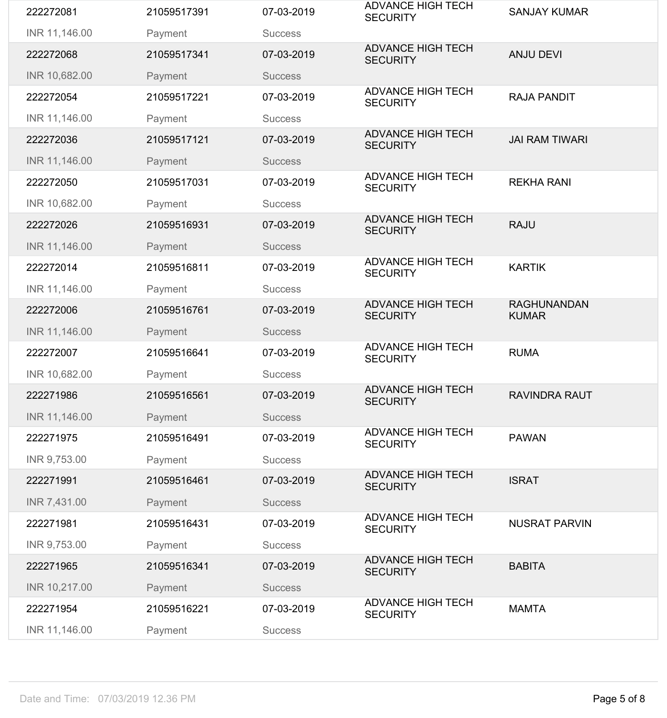| 222272081     | 21059517391 | 07-03-2019     | <b>ADVANCE HIGH TECH</b><br><b>SECURITY</b> | <b>SANJAY KUMAR</b>                |
|---------------|-------------|----------------|---------------------------------------------|------------------------------------|
| INR 11,146.00 | Payment     | <b>Success</b> |                                             |                                    |
| 222272068     | 21059517341 | 07-03-2019     | <b>ADVANCE HIGH TECH</b><br><b>SECURITY</b> | <b>ANJU DEVI</b>                   |
| INR 10,682.00 | Payment     | <b>Success</b> |                                             |                                    |
| 222272054     | 21059517221 | 07-03-2019     | <b>ADVANCE HIGH TECH</b><br><b>SECURITY</b> | <b>RAJA PANDIT</b>                 |
| INR 11,146.00 | Payment     | <b>Success</b> |                                             |                                    |
| 222272036     | 21059517121 | 07-03-2019     | <b>ADVANCE HIGH TECH</b><br><b>SECURITY</b> | <b>JAI RAM TIWARI</b>              |
| INR 11,146.00 | Payment     | <b>Success</b> |                                             |                                    |
| 222272050     | 21059517031 | 07-03-2019     | <b>ADVANCE HIGH TECH</b><br><b>SECURITY</b> | <b>REKHA RANI</b>                  |
| INR 10,682.00 | Payment     | <b>Success</b> |                                             |                                    |
| 222272026     | 21059516931 | 07-03-2019     | <b>ADVANCE HIGH TECH</b><br><b>SECURITY</b> | <b>RAJU</b>                        |
| INR 11,146.00 | Payment     | <b>Success</b> |                                             |                                    |
| 222272014     | 21059516811 | 07-03-2019     | <b>ADVANCE HIGH TECH</b><br><b>SECURITY</b> | <b>KARTIK</b>                      |
| INR 11,146.00 | Payment     | <b>Success</b> |                                             |                                    |
| 222272006     | 21059516761 | 07-03-2019     | <b>ADVANCE HIGH TECH</b><br><b>SECURITY</b> | <b>RAGHUNANDAN</b><br><b>KUMAR</b> |
| INR 11,146.00 | Payment     | <b>Success</b> |                                             |                                    |
| 222272007     | 21059516641 | 07-03-2019     | <b>ADVANCE HIGH TECH</b><br><b>SECURITY</b> | <b>RUMA</b>                        |
| INR 10,682.00 | Payment     | <b>Success</b> |                                             |                                    |
| 222271986     | 21059516561 | 07-03-2019     | <b>ADVANCE HIGH TECH</b><br><b>SECURITY</b> | <b>RAVINDRA RAUT</b>               |
| INR 11,146.00 | Payment     | <b>Success</b> |                                             |                                    |
| 222271975     | 21059516491 | 07-03-2019     | <b>ADVANCE HIGH TECH</b><br><b>SECURITY</b> | <b>PAWAN</b>                       |
| INR 9,753.00  | Payment     | <b>Success</b> |                                             |                                    |
| 222271991     | 21059516461 | 07-03-2019     | <b>ADVANCE HIGH TECH</b><br><b>SECURITY</b> | <b>ISRAT</b>                       |
| INR 7,431.00  | Payment     | <b>Success</b> |                                             |                                    |
| 222271981     | 21059516431 | 07-03-2019     | <b>ADVANCE HIGH TECH</b><br><b>SECURITY</b> | <b>NUSRAT PARVIN</b>               |
| INR 9,753.00  | Payment     | <b>Success</b> |                                             |                                    |
| 222271965     | 21059516341 | 07-03-2019     | <b>ADVANCE HIGH TECH</b><br><b>SECURITY</b> | <b>BABITA</b>                      |
|               |             | <b>Success</b> |                                             |                                    |
| INR 10,217.00 | Payment     |                |                                             |                                    |
| 222271954     | 21059516221 | 07-03-2019     | <b>ADVANCE HIGH TECH</b><br><b>SECURITY</b> | <b>MAMTA</b>                       |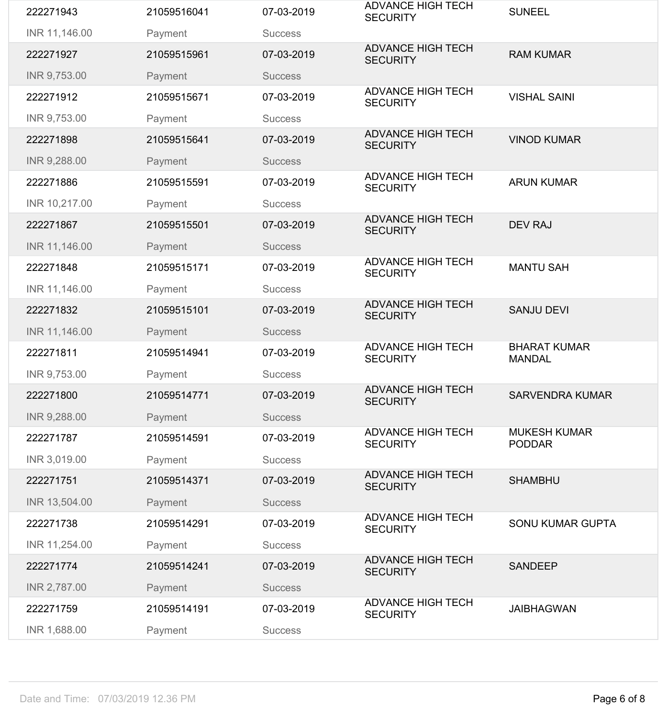| 222271886     | 21059515591 | 07-03-2019     | <b>ADVANCE HIGH TECH</b>                    | <b>ARUN KUMAR</b>                    |
|---------------|-------------|----------------|---------------------------------------------|--------------------------------------|
| INR 9,288.00  | Payment     | <b>Success</b> |                                             |                                      |
|               |             |                | <b>SECURITY</b>                             |                                      |
| INR 10,217.00 | Payment     | <b>Success</b> | <b>ADVANCE HIGH TECH</b>                    |                                      |
| 222271867     | 21059515501 | 07-03-2019     | <b>SECURITY</b>                             | <b>DEV RAJ</b>                       |
| INR 11,146.00 | Payment     | <b>Success</b> | <b>ADVANCE HIGH TECH</b>                    |                                      |
| 222271848     | 21059515171 | 07-03-2019     | <b>SECURITY</b>                             | <b>MANTU SAH</b>                     |
| INR 11,146.00 | Payment     | <b>Success</b> |                                             |                                      |
| 222271832     | 21059515101 | 07-03-2019     | <b>ADVANCE HIGH TECH</b><br><b>SECURITY</b> | <b>SANJU DEVI</b>                    |
| INR 11,146.00 | Payment     | <b>Success</b> |                                             |                                      |
|               |             |                |                                             |                                      |
| 222271811     | 21059514941 | 07-03-2019     | <b>ADVANCE HIGH TECH</b><br><b>SECURITY</b> | <b>BHARAT KUMAR</b><br><b>MANDAL</b> |
| INR 9,753.00  | Payment     | <b>Success</b> |                                             |                                      |
| 222271800     | 21059514771 | 07-03-2019     | <b>ADVANCE HIGH TECH</b><br><b>SECURITY</b> | <b>SARVENDRA KUMAR</b>               |
| INR 9,288.00  | Payment     | <b>Success</b> |                                             |                                      |
| 222271787     | 21059514591 | 07-03-2019     | <b>ADVANCE HIGH TECH</b><br><b>SECURITY</b> | <b>MUKESH KUMAR</b><br><b>PODDAR</b> |
| INR 3,019.00  | Payment     | <b>Success</b> |                                             |                                      |
| 222271751     | 21059514371 | 07-03-2019     | <b>ADVANCE HIGH TECH</b><br><b>SECURITY</b> | <b>SHAMBHU</b>                       |
| INR 13,504.00 | Payment     | <b>Success</b> |                                             |                                      |
| 222271738     | 21059514291 | 07-03-2019     | <b>ADVANCE HIGH TECH</b><br><b>SECURITY</b> | <b>SONU KUMAR GUPTA</b>              |
| INR 11,254.00 | Payment     | <b>Success</b> |                                             |                                      |
| 222271774     | 21059514241 | 07-03-2019     | <b>ADVANCE HIGH TECH</b><br><b>SECURITY</b> | <b>SANDEEP</b>                       |
| INR 2,787.00  | Payment     | <b>Success</b> |                                             |                                      |
| 222271759     | 21059514191 | 07-03-2019     | <b>ADVANCE HIGH TECH</b><br><b>SECURITY</b> | <b>JAIBHAGWAN</b>                    |
| INR 1,688.00  | Payment     | <b>Success</b> |                                             |                                      |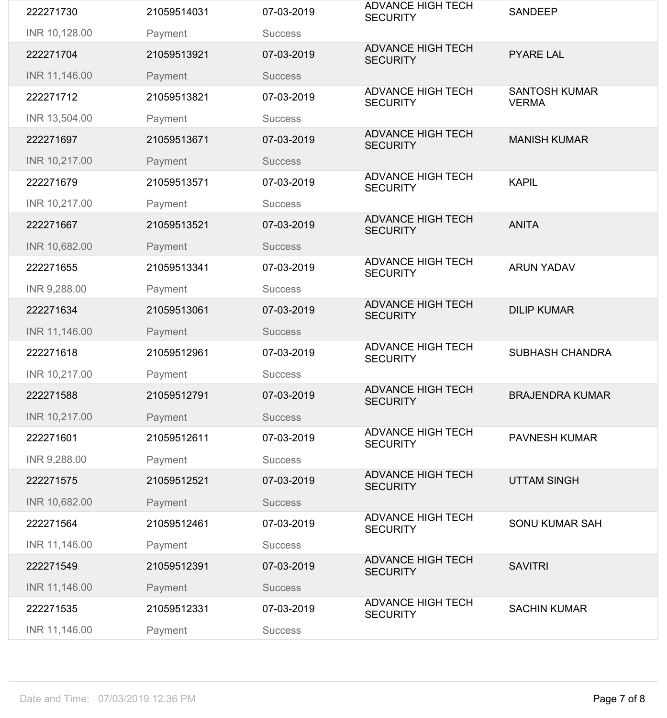| INR 10,217.00 | Payment     | <b>Success</b> |                                             |                                      |
|---------------|-------------|----------------|---------------------------------------------|--------------------------------------|
|               |             |                |                                             |                                      |
|               |             |                | <b>ADVANCE HIGH TECH</b>                    |                                      |
|               |             |                |                                             |                                      |
|               |             |                | <b>SECURITY</b>                             |                                      |
| 222271618     | 21059512961 | 07-03-2019     | <b>ADVANCE HIGH TECH</b>                    | <b>SUBHASH CHANDRA</b>               |
|               |             |                |                                             |                                      |
| INR 11,146.00 | Payment     | <b>Success</b> |                                             |                                      |
|               |             |                |                                             |                                      |
| 222271634     | 21059513061 | 07-03-2019     | <b>SECURITY</b>                             | <b>DILIP KUMAR</b>                   |
|               |             |                | <b>ADVANCE HIGH TECH</b>                    |                                      |
| INR 9,288.00  | Payment     | <b>Success</b> |                                             |                                      |
|               |             |                | <b>SECURITY</b>                             |                                      |
| 222271655     | 21059513341 | 07-03-2019     |                                             | <b>ARUN YADAV</b>                    |
|               |             |                | <b>ADVANCE HIGH TECH</b>                    |                                      |
| INR 10,682.00 | Payment     | <b>Success</b> |                                             |                                      |
|               |             |                |                                             |                                      |
| 222271667     | 21059513521 | 07-03-2019     | <b>SECURITY</b>                             | <b>ANITA</b>                         |
|               |             |                | <b>ADVANCE HIGH TECH</b>                    |                                      |
| INR 10,217.00 | Payment     | <b>Success</b> |                                             |                                      |
|               |             |                |                                             |                                      |
| 222271679     | 21059513571 | 07-03-2019     | <b>SECURITY</b>                             | <b>KAPIL</b>                         |
|               |             |                | <b>ADVANCE HIGH TECH</b>                    |                                      |
| INR 10,217.00 | Payment     | <b>Success</b> |                                             |                                      |
| 222271697     | 21059513671 | 07-03-2019     | <b>SECURITY</b>                             | <b>MANISH KUMAR</b>                  |
|               |             |                | <b>ADVANCE HIGH TECH</b>                    |                                      |
| INR 13,504.00 | Payment     | <b>Success</b> |                                             |                                      |
| 222271712     | 21059513821 | 07-03-2019     | <b>ADVANCE HIGH TECH</b><br><b>SECURITY</b> | <b>SANTOSH KUMAR</b><br><b>VERMA</b> |
| INR 11,146.00 | Payment     | <b>Success</b> |                                             |                                      |
|               |             |                | <b>SECURITY</b>                             |                                      |
| 222271704     | 21059513921 | 07-03-2019     | <b>ADVANCE HIGH TECH</b>                    | <b>PYARE LAL</b>                     |
| INR 10,128.00 | Payment     | <b>Success</b> |                                             |                                      |
| 222271730     | 21059514031 | 07-03-2019     | <b>ADVANCE HIGH TECH</b><br><b>SECURITY</b> | <b>SANDEEP</b>                       |
|               |             |                |                                             |                                      |